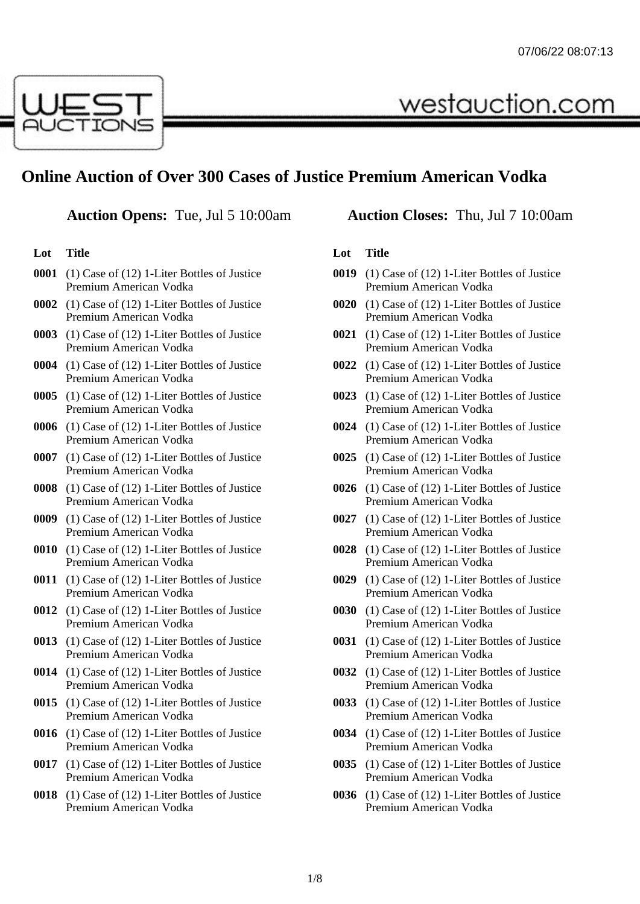

# **Online Auction of Over 300 Cases of Justice Premium American Vodka**

# **Lot Title**

- **0001** (1) Case of (12) 1-Liter Bottles of Justice Premium American Vodka
- **0002** (1) Case of (12) 1-Liter Bottles of Justice Premium American Vodka
- **0003** (1) Case of (12) 1-Liter Bottles of Justice Premium American Vodka
- **0004** (1) Case of (12) 1-Liter Bottles of Justice Premium American Vodka
- **0005** (1) Case of (12) 1-Liter Bottles of Justice Premium American Vodka
- **0006** (1) Case of (12) 1-Liter Bottles of Justice Premium American Vodka
- **0007** (1) Case of (12) 1-Liter Bottles of Justice Premium American Vodka
- **0008** (1) Case of (12) 1-Liter Bottles of Justice Premium American Vodka
- **0009** (1) Case of (12) 1-Liter Bottles of Justice Premium American Vodka
- **0010** (1) Case of (12) 1-Liter Bottles of Justice Premium American Vodka
- **0011** (1) Case of (12) 1-Liter Bottles of Justice Premium American Vodka
- **0012** (1) Case of (12) 1-Liter Bottles of Justice Premium American Vodka
- **0013** (1) Case of (12) 1-Liter Bottles of Justice Premium American Vodka
- **0014** (1) Case of (12) 1-Liter Bottles of Justice Premium American Vodka
- **0015** (1) Case of (12) 1-Liter Bottles of Justice Premium American Vodka
- **0016** (1) Case of (12) 1-Liter Bottles of Justice Premium American Vodka
- **0017** (1) Case of (12) 1-Liter Bottles of Justice Premium American Vodka
- **0018** (1) Case of (12) 1-Liter Bottles of Justice Premium American Vodka

# **Auction Opens:** Tue, Jul 5 10:00am **Auction Closes:** Thu, Jul 7 10:00am

westauction.com

- **0019** (1) Case of (12) 1-Liter Bottles of Justice Premium American Vodka
- **0020** (1) Case of (12) 1-Liter Bottles of Justice Premium American Vodka
- **0021** (1) Case of (12) 1-Liter Bottles of Justice Premium American Vodka
- **0022** (1) Case of (12) 1-Liter Bottles of Justice Premium American Vodka
- **0023** (1) Case of (12) 1-Liter Bottles of Justice Premium American Vodka
- **0024** (1) Case of (12) 1-Liter Bottles of Justice Premium American Vodka
- **0025** (1) Case of (12) 1-Liter Bottles of Justice Premium American Vodka
- **0026** (1) Case of (12) 1-Liter Bottles of Justice Premium American Vodka
- **0027** (1) Case of (12) 1-Liter Bottles of Justice Premium American Vodka
- **0028** (1) Case of (12) 1-Liter Bottles of Justice Premium American Vodka
- **0029** (1) Case of (12) 1-Liter Bottles of Justice Premium American Vodka
- **0030** (1) Case of (12) 1-Liter Bottles of Justice Premium American Vodka
- **0031** (1) Case of (12) 1-Liter Bottles of Justice Premium American Vodka
- **0032** (1) Case of (12) 1-Liter Bottles of Justice Premium American Vodka
- **0033** (1) Case of (12) 1-Liter Bottles of Justice Premium American Vodka
- **0034** (1) Case of (12) 1-Liter Bottles of Justice Premium American Vodka
- **0035** (1) Case of (12) 1-Liter Bottles of Justice Premium American Vodka
- **0036** (1) Case of (12) 1-Liter Bottles of Justice Premium American Vodka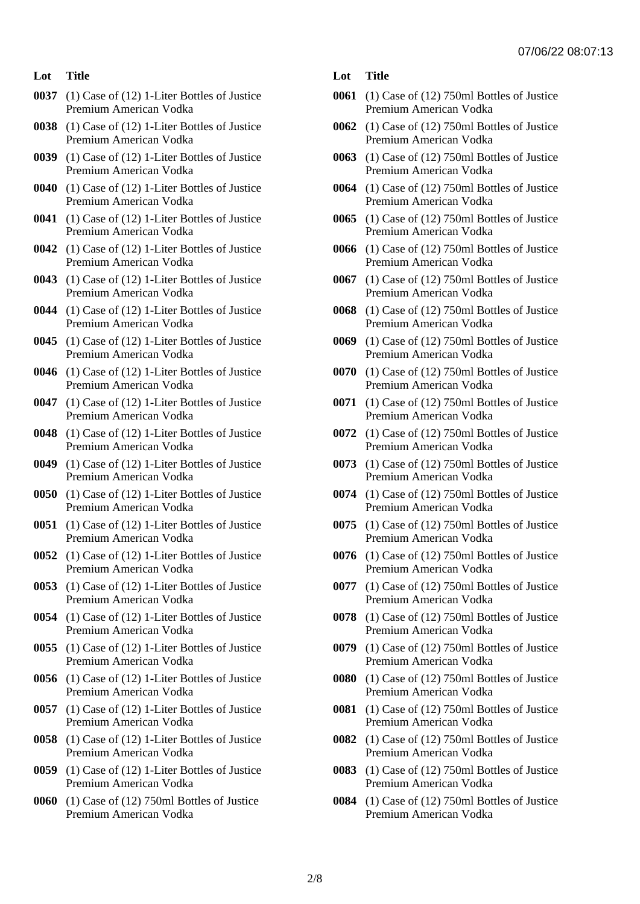- **0037** (1) Case of (12) 1-Liter Bottles of Justice Premium American Vodka
- **0038** (1) Case of (12) 1-Liter Bottles of Justice Premium American Vodka
- **0039** (1) Case of (12) 1-Liter Bottles of Justice Premium American Vodka
- **0040** (1) Case of (12) 1-Liter Bottles of Justice Premium American Vodka
- **0041** (1) Case of (12) 1-Liter Bottles of Justice Premium American Vodka
- **0042** (1) Case of (12) 1-Liter Bottles of Justice Premium American Vodka
- **0043** (1) Case of (12) 1-Liter Bottles of Justice Premium American Vodka
- **0044** (1) Case of (12) 1-Liter Bottles of Justice Premium American Vodka
- **0045** (1) Case of (12) 1-Liter Bottles of Justice Premium American Vodka
- **0046** (1) Case of (12) 1-Liter Bottles of Justice Premium American Vodka
- **0047** (1) Case of (12) 1-Liter Bottles of Justice Premium American Vodka
- **0048** (1) Case of (12) 1-Liter Bottles of Justice Premium American Vodka
- **0049** (1) Case of (12) 1-Liter Bottles of Justice Premium American Vodka
- **0050** (1) Case of (12) 1-Liter Bottles of Justice Premium American Vodka
- **0051** (1) Case of (12) 1-Liter Bottles of Justice Premium American Vodka
- **0052** (1) Case of (12) 1-Liter Bottles of Justice Premium American Vodka
- **0053** (1) Case of (12) 1-Liter Bottles of Justice Premium American Vodka
- **0054** (1) Case of (12) 1-Liter Bottles of Justice Premium American Vodka
- **0055** (1) Case of (12) 1-Liter Bottles of Justice Premium American Vodka
- **0056** (1) Case of (12) 1-Liter Bottles of Justice Premium American Vodka
- **0057** (1) Case of (12) 1-Liter Bottles of Justice Premium American Vodka
- **0058** (1) Case of (12) 1-Liter Bottles of Justice Premium American Vodka
- **0059** (1) Case of (12) 1-Liter Bottles of Justice Premium American Vodka
- **0060** (1) Case of (12) 750ml Bottles of Justice Premium American Vodka
- **Lot Title**
- **0061** (1) Case of (12) 750ml Bottles of Justice Premium American Vodka
- **0062** (1) Case of (12) 750ml Bottles of Justice Premium American Vodka
- **0063** (1) Case of (12) 750ml Bottles of Justice Premium American Vodka
- **0064** (1) Case of (12) 750ml Bottles of Justice Premium American Vodka
- **0065** (1) Case of (12) 750ml Bottles of Justice Premium American Vodka
- **0066** (1) Case of (12) 750ml Bottles of Justice Premium American Vodka
- **0067** (1) Case of (12) 750ml Bottles of Justice Premium American Vodka
- **0068** (1) Case of (12) 750ml Bottles of Justice Premium American Vodka
- **0069** (1) Case of (12) 750ml Bottles of Justice Premium American Vodka
- **0070** (1) Case of (12) 750ml Bottles of Justice Premium American Vodka
- **0071** (1) Case of (12) 750ml Bottles of Justice Premium American Vodka
- **0072** (1) Case of (12) 750ml Bottles of Justice Premium American Vodka
- **0073** (1) Case of (12) 750ml Bottles of Justice Premium American Vodka
- **0074** (1) Case of (12) 750ml Bottles of Justice Premium American Vodka
- **0075** (1) Case of (12) 750ml Bottles of Justice Premium American Vodka
- **0076** (1) Case of (12) 750ml Bottles of Justice Premium American Vodka
- **0077** (1) Case of (12) 750ml Bottles of Justice Premium American Vodka
- **0078** (1) Case of (12) 750ml Bottles of Justice Premium American Vodka
- **0079** (1) Case of (12) 750ml Bottles of Justice Premium American Vodka
- **0080** (1) Case of (12) 750ml Bottles of Justice Premium American Vodka
- **0081** (1) Case of (12) 750ml Bottles of Justice Premium American Vodka
- **0082** (1) Case of (12) 750ml Bottles of Justice Premium American Vodka
- **0083** (1) Case of (12) 750ml Bottles of Justice Premium American Vodka
- **0084** (1) Case of (12) 750ml Bottles of Justice Premium American Vodka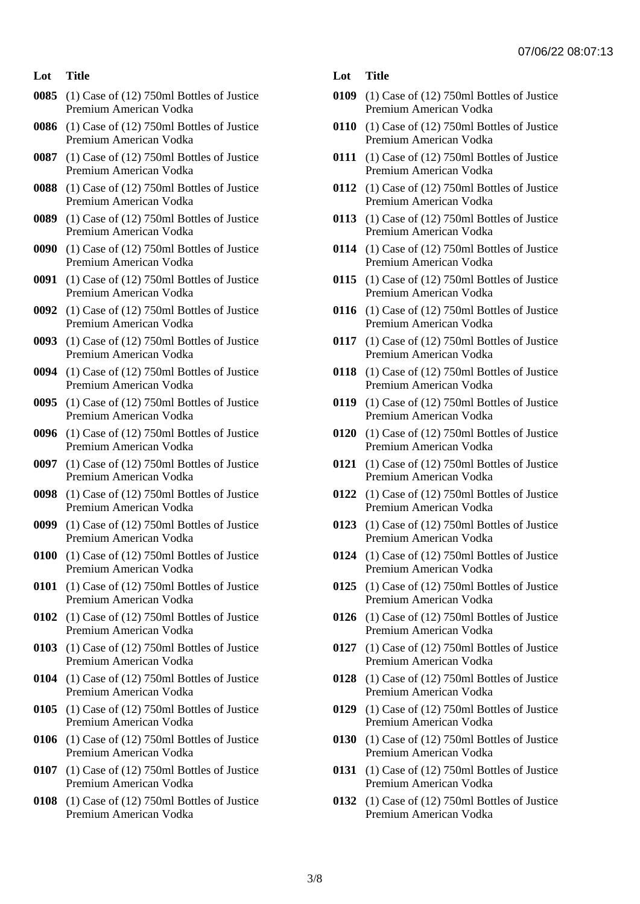- **0085** (1) Case of (12) 750ml Bottles of Justice Premium American Vodka
- **0086** (1) Case of (12) 750ml Bottles of Justice Premium American Vodka
- **0087** (1) Case of (12) 750ml Bottles of Justice Premium American Vodka
- **0088** (1) Case of (12) 750ml Bottles of Justice Premium American Vodka
- **0089** (1) Case of (12) 750ml Bottles of Justice Premium American Vodka
- **0090** (1) Case of (12) 750ml Bottles of Justice Premium American Vodka
- **0091** (1) Case of (12) 750ml Bottles of Justice Premium American Vodka
- **0092** (1) Case of (12) 750ml Bottles of Justice Premium American Vodka
- **0093** (1) Case of (12) 750ml Bottles of Justice Premium American Vodka
- **0094** (1) Case of (12) 750ml Bottles of Justice Premium American Vodka
- **0095** (1) Case of (12) 750ml Bottles of Justice Premium American Vodka
- **0096** (1) Case of (12) 750ml Bottles of Justice Premium American Vodka
- **0097** (1) Case of (12) 750ml Bottles of Justice Premium American Vodka
- **0098** (1) Case of (12) 750ml Bottles of Justice Premium American Vodka
- **0099** (1) Case of (12) 750ml Bottles of Justice Premium American Vodka
- **0100** (1) Case of (12) 750ml Bottles of Justice Premium American Vodka
- **0101** (1) Case of (12) 750ml Bottles of Justice Premium American Vodka
- **0102** (1) Case of (12) 750ml Bottles of Justice Premium American Vodka
- **0103** (1) Case of (12) 750ml Bottles of Justice Premium American Vodka
- **0104** (1) Case of (12) 750ml Bottles of Justice Premium American Vodka
- **0105** (1) Case of (12) 750ml Bottles of Justice Premium American Vodka
- **0106** (1) Case of (12) 750ml Bottles of Justice Premium American Vodka
- **0107** (1) Case of (12) 750ml Bottles of Justice Premium American Vodka
- **0108** (1) Case of (12) 750ml Bottles of Justice Premium American Vodka

- **0109** (1) Case of (12) 750ml Bottles of Justice Premium American Vodka
- **0110** (1) Case of (12) 750ml Bottles of Justice Premium American Vodka
- **0111** (1) Case of (12) 750ml Bottles of Justice Premium American Vodka
- **0112** (1) Case of (12) 750ml Bottles of Justice Premium American Vodka
- **0113** (1) Case of (12) 750ml Bottles of Justice Premium American Vodka
- **0114** (1) Case of (12) 750ml Bottles of Justice Premium American Vodka
- **0115** (1) Case of (12) 750ml Bottles of Justice Premium American Vodka
- **0116** (1) Case of (12) 750ml Bottles of Justice Premium American Vodka
- **0117** (1) Case of (12) 750ml Bottles of Justice Premium American Vodka
- **0118** (1) Case of (12) 750ml Bottles of Justice Premium American Vodka
- **0119** (1) Case of (12) 750ml Bottles of Justice Premium American Vodka
- **0120** (1) Case of (12) 750ml Bottles of Justice Premium American Vodka
- **0121** (1) Case of (12) 750ml Bottles of Justice Premium American Vodka
- **0122** (1) Case of (12) 750ml Bottles of Justice Premium American Vodka
- **0123** (1) Case of (12) 750ml Bottles of Justice Premium American Vodka
- **0124** (1) Case of (12) 750ml Bottles of Justice Premium American Vodka
- **0125** (1) Case of (12) 750ml Bottles of Justice Premium American Vodka
- **0126** (1) Case of (12) 750ml Bottles of Justice Premium American Vodka
- **0127** (1) Case of (12) 750ml Bottles of Justice Premium American Vodka
- **0128** (1) Case of (12) 750ml Bottles of Justice Premium American Vodka
- **0129** (1) Case of (12) 750ml Bottles of Justice Premium American Vodka
- **0130** (1) Case of (12) 750ml Bottles of Justice Premium American Vodka
- **0131** (1) Case of (12) 750ml Bottles of Justice Premium American Vodka
- **0132** (1) Case of (12) 750ml Bottles of Justice Premium American Vodka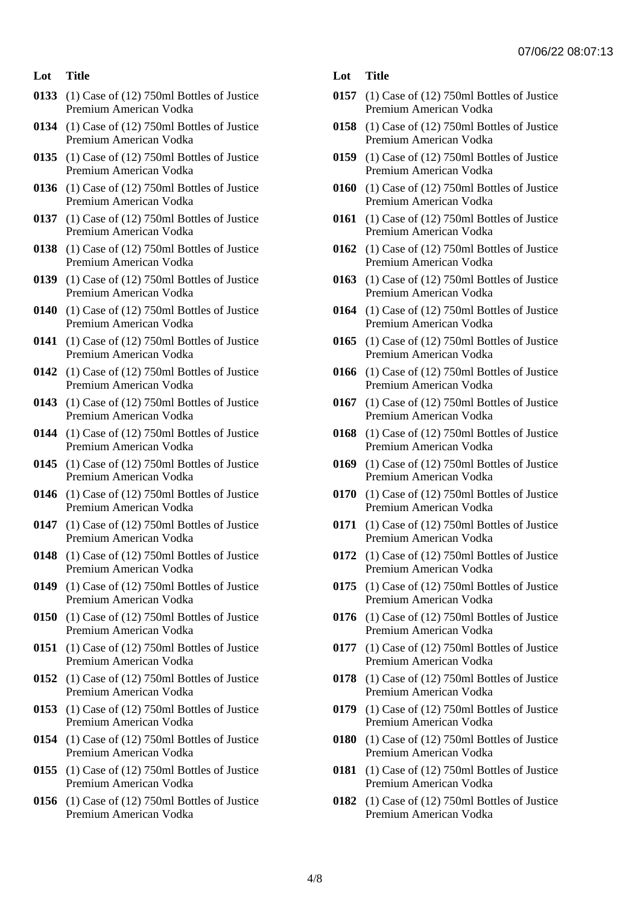- **0133** (1) Case of (12) 750ml Bottles of Justice Premium American Vodka
- **0134** (1) Case of (12) 750ml Bottles of Justice Premium American Vodka
- **0135** (1) Case of (12) 750ml Bottles of Justice Premium American Vodka
- **0136** (1) Case of (12) 750ml Bottles of Justice Premium American Vodka
- **0137** (1) Case of (12) 750ml Bottles of Justice Premium American Vodka
- **0138** (1) Case of (12) 750ml Bottles of Justice Premium American Vodka
- **0139** (1) Case of (12) 750ml Bottles of Justice Premium American Vodka
- **0140** (1) Case of (12) 750ml Bottles of Justice Premium American Vodka
- **0141** (1) Case of (12) 750ml Bottles of Justice Premium American Vodka
- **0142** (1) Case of (12) 750ml Bottles of Justice Premium American Vodka
- **0143** (1) Case of (12) 750ml Bottles of Justice Premium American Vodka
- **0144** (1) Case of (12) 750ml Bottles of Justice Premium American Vodka
- **0145** (1) Case of (12) 750ml Bottles of Justice Premium American Vodka
- **0146** (1) Case of (12) 750ml Bottles of Justice Premium American Vodka
- **0147** (1) Case of (12) 750ml Bottles of Justice Premium American Vodka
- **0148** (1) Case of (12) 750ml Bottles of Justice Premium American Vodka
- **0149** (1) Case of (12) 750ml Bottles of Justice Premium American Vodka
- **0150** (1) Case of (12) 750ml Bottles of Justice Premium American Vodka
- **0151** (1) Case of (12) 750ml Bottles of Justice Premium American Vodka
- **0152** (1) Case of (12) 750ml Bottles of Justice Premium American Vodka
- **0153** (1) Case of (12) 750ml Bottles of Justice Premium American Vodka
- **0154** (1) Case of (12) 750ml Bottles of Justice Premium American Vodka
- **0155** (1) Case of (12) 750ml Bottles of Justice Premium American Vodka
- **0156** (1) Case of (12) 750ml Bottles of Justice Premium American Vodka

- **0157** (1) Case of (12) 750ml Bottles of Justice Premium American Vodka
- **0158** (1) Case of (12) 750ml Bottles of Justice Premium American Vodka
- **0159** (1) Case of (12) 750ml Bottles of Justice Premium American Vodka
- **0160** (1) Case of (12) 750ml Bottles of Justice Premium American Vodka
- **0161** (1) Case of (12) 750ml Bottles of Justice Premium American Vodka
- **0162** (1) Case of (12) 750ml Bottles of Justice Premium American Vodka
- **0163** (1) Case of (12) 750ml Bottles of Justice Premium American Vodka
- **0164** (1) Case of (12) 750ml Bottles of Justice Premium American Vodka
- **0165** (1) Case of (12) 750ml Bottles of Justice Premium American Vodka
- **0166** (1) Case of (12) 750ml Bottles of Justice Premium American Vodka
- **0167** (1) Case of (12) 750ml Bottles of Justice Premium American Vodka
- **0168** (1) Case of (12) 750ml Bottles of Justice Premium American Vodka
- **0169** (1) Case of (12) 750ml Bottles of Justice Premium American Vodka
- **0170** (1) Case of (12) 750ml Bottles of Justice Premium American Vodka
- **0171** (1) Case of (12) 750ml Bottles of Justice Premium American Vodka
- **0172** (1) Case of (12) 750ml Bottles of Justice Premium American Vodka
- **0175** (1) Case of (12) 750ml Bottles of Justice Premium American Vodka
- **0176** (1) Case of (12) 750ml Bottles of Justice Premium American Vodka
- **0177** (1) Case of (12) 750ml Bottles of Justice Premium American Vodka
- **0178** (1) Case of (12) 750ml Bottles of Justice Premium American Vodka
- **0179** (1) Case of (12) 750ml Bottles of Justice Premium American Vodka
- **0180** (1) Case of (12) 750ml Bottles of Justice Premium American Vodka
- **0181** (1) Case of (12) 750ml Bottles of Justice Premium American Vodka
- **0182** (1) Case of (12) 750ml Bottles of Justice Premium American Vodka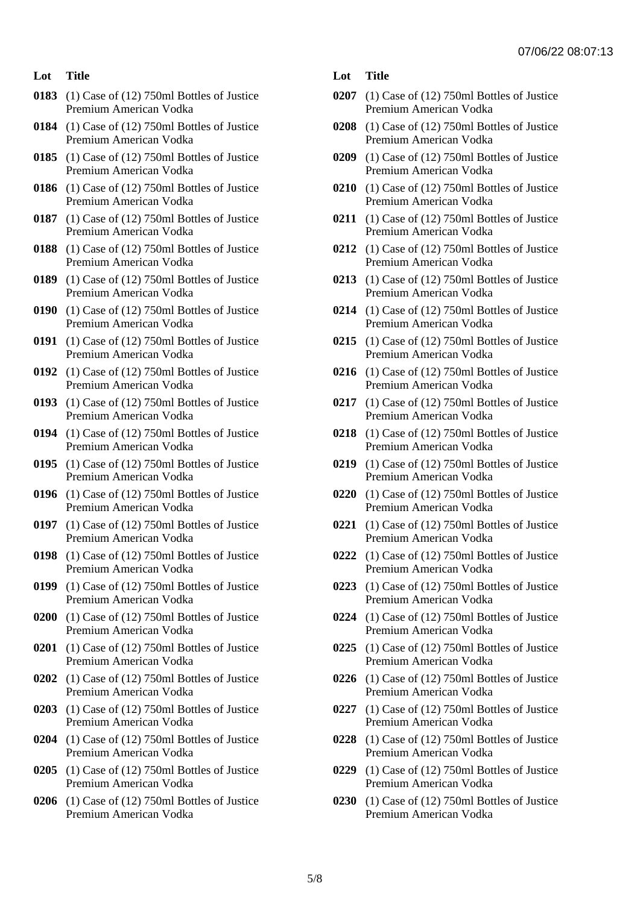- **0183** (1) Case of (12) 750ml Bottles of Justice Premium American Vodka
- **0184** (1) Case of (12) 750ml Bottles of Justice Premium American Vodka
- **0185** (1) Case of (12) 750ml Bottles of Justice Premium American Vodka
- **0186** (1) Case of (12) 750ml Bottles of Justice Premium American Vodka
- **0187** (1) Case of (12) 750ml Bottles of Justice Premium American Vodka
- **0188** (1) Case of (12) 750ml Bottles of Justice Premium American Vodka
- **0189** (1) Case of (12) 750ml Bottles of Justice Premium American Vodka
- **0190** (1) Case of (12) 750ml Bottles of Justice Premium American Vodka
- **0191** (1) Case of (12) 750ml Bottles of Justice Premium American Vodka
- **0192** (1) Case of (12) 750ml Bottles of Justice Premium American Vodka
- **0193** (1) Case of (12) 750ml Bottles of Justice Premium American Vodka
- **0194** (1) Case of (12) 750ml Bottles of Justice Premium American Vodka
- **0195** (1) Case of (12) 750ml Bottles of Justice Premium American Vodka
- **0196** (1) Case of (12) 750ml Bottles of Justice Premium American Vodka
- **0197** (1) Case of (12) 750ml Bottles of Justice Premium American Vodka
- **0198** (1) Case of (12) 750ml Bottles of Justice Premium American Vodka
- **0199** (1) Case of (12) 750ml Bottles of Justice Premium American Vodka
- **0200** (1) Case of (12) 750ml Bottles of Justice Premium American Vodka
- **0201** (1) Case of (12) 750ml Bottles of Justice Premium American Vodka
- **0202** (1) Case of (12) 750ml Bottles of Justice Premium American Vodka
- **0203** (1) Case of (12) 750ml Bottles of Justice Premium American Vodka
- **0204** (1) Case of (12) 750ml Bottles of Justice Premium American Vodka
- **0205** (1) Case of (12) 750ml Bottles of Justice Premium American Vodka
- **0206** (1) Case of (12) 750ml Bottles of Justice Premium American Vodka

- **0207** (1) Case of (12) 750ml Bottles of Justice Premium American Vodka
- **0208** (1) Case of (12) 750ml Bottles of Justice Premium American Vodka
- **0209** (1) Case of (12) 750ml Bottles of Justice Premium American Vodka
- **0210** (1) Case of (12) 750ml Bottles of Justice Premium American Vodka
- **0211** (1) Case of (12) 750ml Bottles of Justice Premium American Vodka
- **0212** (1) Case of (12) 750ml Bottles of Justice Premium American Vodka
- **0213** (1) Case of (12) 750ml Bottles of Justice Premium American Vodka
- **0214** (1) Case of (12) 750ml Bottles of Justice Premium American Vodka
- **0215** (1) Case of (12) 750ml Bottles of Justice Premium American Vodka
- **0216** (1) Case of (12) 750ml Bottles of Justice Premium American Vodka
- **0217** (1) Case of (12) 750ml Bottles of Justice Premium American Vodka
- **0218** (1) Case of (12) 750ml Bottles of Justice Premium American Vodka
- **0219** (1) Case of (12) 750ml Bottles of Justice Premium American Vodka
- **0220** (1) Case of (12) 750ml Bottles of Justice Premium American Vodka
- **0221** (1) Case of (12) 750ml Bottles of Justice Premium American Vodka
- **0222** (1) Case of (12) 750ml Bottles of Justice Premium American Vodka
- **0223** (1) Case of (12) 750ml Bottles of Justice Premium American Vodka
- **0224** (1) Case of (12) 750ml Bottles of Justice Premium American Vodka
- **0225** (1) Case of (12) 750ml Bottles of Justice Premium American Vodka
- **0226** (1) Case of (12) 750ml Bottles of Justice Premium American Vodka
- **0227** (1) Case of (12) 750ml Bottles of Justice Premium American Vodka
- **0228** (1) Case of (12) 750ml Bottles of Justice Premium American Vodka
- **0229** (1) Case of (12) 750ml Bottles of Justice Premium American Vodka
- **0230** (1) Case of (12) 750ml Bottles of Justice Premium American Vodka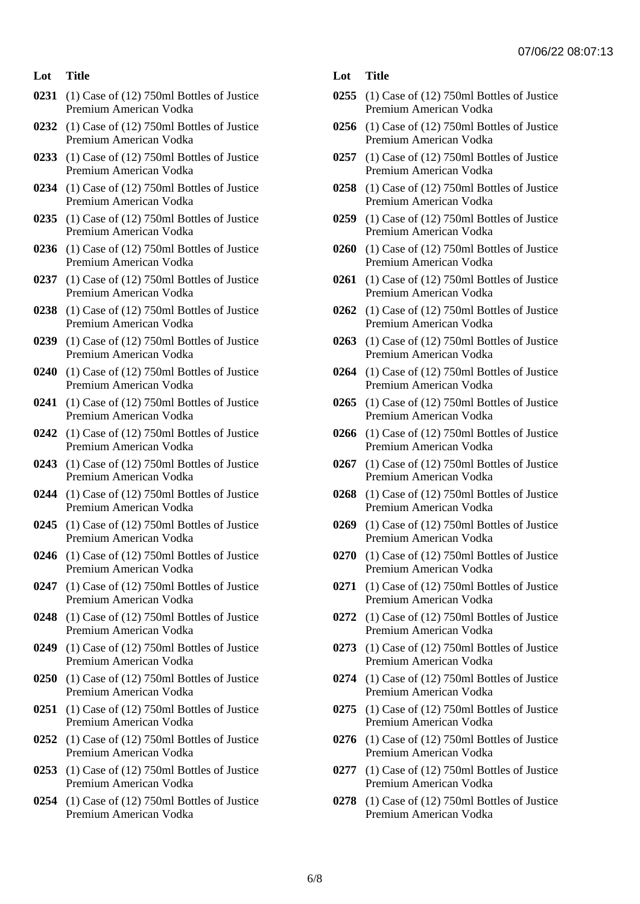- **0231** (1) Case of (12) 750ml Bottles of Justice Premium American Vodka
- **0232** (1) Case of (12) 750ml Bottles of Justice Premium American Vodka
- **0233** (1) Case of (12) 750ml Bottles of Justice Premium American Vodka
- **0234** (1) Case of (12) 750ml Bottles of Justice Premium American Vodka
- **0235** (1) Case of (12) 750ml Bottles of Justice Premium American Vodka
- **0236** (1) Case of (12) 750ml Bottles of Justice Premium American Vodka
- **0237** (1) Case of (12) 750ml Bottles of Justice Premium American Vodka
- **0238** (1) Case of (12) 750ml Bottles of Justice Premium American Vodka
- **0239** (1) Case of (12) 750ml Bottles of Justice Premium American Vodka
- **0240** (1) Case of (12) 750ml Bottles of Justice Premium American Vodka
- **0241** (1) Case of (12) 750ml Bottles of Justice Premium American Vodka
- **0242** (1) Case of (12) 750ml Bottles of Justice Premium American Vodka
- **0243** (1) Case of (12) 750ml Bottles of Justice Premium American Vodka
- **0244** (1) Case of (12) 750ml Bottles of Justice Premium American Vodka
- **0245** (1) Case of (12) 750ml Bottles of Justice Premium American Vodka
- **0246** (1) Case of (12) 750ml Bottles of Justice Premium American Vodka
- **0247** (1) Case of (12) 750ml Bottles of Justice Premium American Vodka
- **0248** (1) Case of (12) 750ml Bottles of Justice Premium American Vodka
- **0249** (1) Case of (12) 750ml Bottles of Justice Premium American Vodka
- **0250** (1) Case of (12) 750ml Bottles of Justice Premium American Vodka
- **0251** (1) Case of (12) 750ml Bottles of Justice Premium American Vodka
- **0252** (1) Case of (12) 750ml Bottles of Justice Premium American Vodka
- **0253** (1) Case of (12) 750ml Bottles of Justice Premium American Vodka
- **0254** (1) Case of (12) 750ml Bottles of Justice Premium American Vodka

- **0255** (1) Case of (12) 750ml Bottles of Justice Premium American Vodka
- **0256** (1) Case of (12) 750ml Bottles of Justice Premium American Vodka
- **0257** (1) Case of (12) 750ml Bottles of Justice Premium American Vodka
- **0258** (1) Case of (12) 750ml Bottles of Justice Premium American Vodka
- **0259** (1) Case of (12) 750ml Bottles of Justice Premium American Vodka
- **0260** (1) Case of (12) 750ml Bottles of Justice Premium American Vodka
- **0261** (1) Case of (12) 750ml Bottles of Justice Premium American Vodka
- **0262** (1) Case of (12) 750ml Bottles of Justice Premium American Vodka
- **0263** (1) Case of (12) 750ml Bottles of Justice Premium American Vodka
- **0264** (1) Case of (12) 750ml Bottles of Justice Premium American Vodka
- **0265** (1) Case of (12) 750ml Bottles of Justice Premium American Vodka
- **0266** (1) Case of (12) 750ml Bottles of Justice Premium American Vodka
- **0267** (1) Case of (12) 750ml Bottles of Justice Premium American Vodka
- **0268** (1) Case of (12) 750ml Bottles of Justice Premium American Vodka
- **0269** (1) Case of (12) 750ml Bottles of Justice Premium American Vodka
- **0270** (1) Case of (12) 750ml Bottles of Justice Premium American Vodka
- **0271** (1) Case of (12) 750ml Bottles of Justice Premium American Vodka
- **0272** (1) Case of (12) 750ml Bottles of Justice Premium American Vodka
- **0273** (1) Case of (12) 750ml Bottles of Justice Premium American Vodka
- **0274** (1) Case of (12) 750ml Bottles of Justice Premium American Vodka
- **0275** (1) Case of (12) 750ml Bottles of Justice Premium American Vodka
- **0276** (1) Case of (12) 750ml Bottles of Justice Premium American Vodka
- **0277** (1) Case of (12) 750ml Bottles of Justice Premium American Vodka
- **0278** (1) Case of (12) 750ml Bottles of Justice Premium American Vodka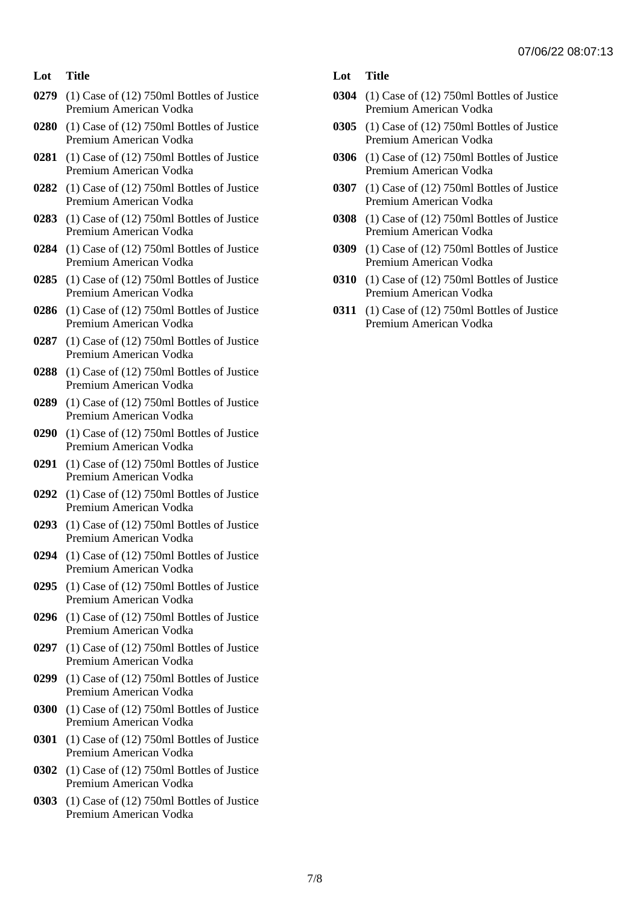- **0279** (1) Case of (12) 750ml Bottles of Justice Premium American Vodka
- **0280** (1) Case of (12) 750ml Bottles of Justice Premium American Vodka
- **0281** (1) Case of (12) 750ml Bottles of Justice Premium American Vodka
- **0282** (1) Case of (12) 750ml Bottles of Justice Premium American Vodka
- **0283** (1) Case of (12) 750ml Bottles of Justice Premium American Vodka
- **0284** (1) Case of (12) 750ml Bottles of Justice Premium American Vodka
- **0285** (1) Case of (12) 750ml Bottles of Justice Premium American Vodka
- **0286** (1) Case of (12) 750ml Bottles of Justice Premium American Vodka
- **0287** (1) Case of (12) 750ml Bottles of Justice Premium American Vodka
- **0288** (1) Case of (12) 750ml Bottles of Justice Premium American Vodka
- **0289** (1) Case of (12) 750ml Bottles of Justice Premium American Vodka
- **0290** (1) Case of (12) 750ml Bottles of Justice Premium American Vodka
- **0291** (1) Case of (12) 750ml Bottles of Justice Premium American Vodka
- **0292** (1) Case of (12) 750ml Bottles of Justice Premium American Vodka
- **0293** (1) Case of (12) 750ml Bottles of Justice Premium American Vodka
- **0294** (1) Case of (12) 750ml Bottles of Justice Premium American Vodka
- **0295** (1) Case of (12) 750ml Bottles of Justice Premium American Vodka
- **0296** (1) Case of (12) 750ml Bottles of Justice Premium American Vodka
- **0297** (1) Case of (12) 750ml Bottles of Justice Premium American Vodka
- **0299** (1) Case of (12) 750ml Bottles of Justice Premium American Vodka
- **0300** (1) Case of (12) 750ml Bottles of Justice Premium American Vodka
- **0301** (1) Case of (12) 750ml Bottles of Justice Premium American Vodka
- **0302** (1) Case of (12) 750ml Bottles of Justice Premium American Vodka
- **0303** (1) Case of (12) 750ml Bottles of Justice Premium American Vodka

- **0304** (1) Case of (12) 750ml Bottles of Justice Premium American Vodka
- **0305** (1) Case of (12) 750ml Bottles of Justice Premium American Vodka
- **0306** (1) Case of (12) 750ml Bottles of Justice Premium American Vodka
- **0307** (1) Case of (12) 750ml Bottles of Justice Premium American Vodka
- **0308** (1) Case of (12) 750ml Bottles of Justice Premium American Vodka
- **0309** (1) Case of (12) 750ml Bottles of Justice Premium American Vodka
- **0310** (1) Case of (12) 750ml Bottles of Justice Premium American Vodka
- **0311** (1) Case of (12) 750ml Bottles of Justice Premium American Vodka